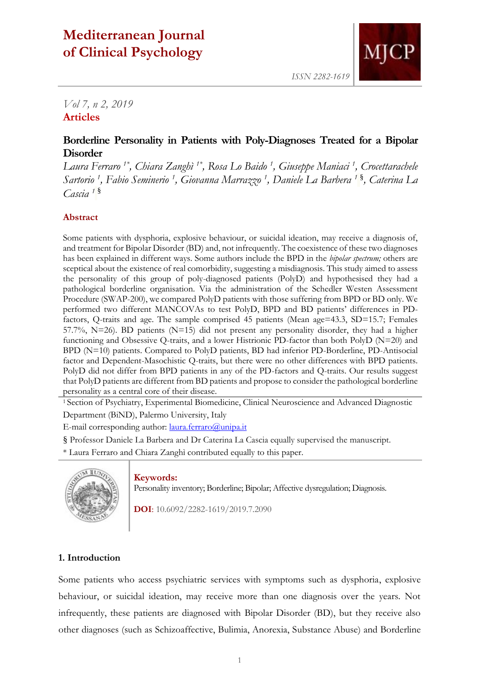# **Mediterranean Journal of Clinical Psychology**



*ISSN 2282-1619*

# *Vol 7, n 2, 2019* **Articles**

## **Borderline Personality in Patients with Poly-Diagnoses Treated for a Bipolar Disorder**

*Laura Ferraro 1\*, Chiara Zanghì 1\* , Rosa Lo Baido <sup>1</sup> , Giuseppe Maniaci <sup>1</sup> , Crocettarachele Sartorio <sup>1</sup> , Fabio Seminerio <sup>1</sup> , Giovanna Marrazzo <sup>1</sup> , Daniele La Barbera <sup>1</sup>* § *, Caterina La Cascia <sup>1</sup>* §

### **Abstract**

Some patients with dysphoria, explosive behaviour, or suicidal ideation, may receive a diagnosis of, and treatment for Bipolar Disorder (BD) and, not infrequently. The coexistence of these two diagnoses has been explained in different ways. Some authors include the BPD in the *bipolar spectrum;* others are sceptical about the existence of real comorbidity, suggesting a misdiagnosis. This study aimed to assess the personality of this group of poly-diagnosed patients (PolyD) and hypothesised they had a pathological borderline organisation. Via the administration of the Schedler Westen Assessment Procedure (SWAP-200), we compared PolyD patients with those suffering from BPD or BD only. We performed two different MANCOVAs to test PolyD, BPD and BD patients' differences in PDfactors, Q-traits and age. The sample comprised 45 patients (Mean age=43.3, SD=15.7; Females 57.7%, N=26). BD patients (N=15) did not present any personality disorder, they had a higher functioning and Obsessive Q-traits, and a lower Histrionic PD-factor than both PolyD (N=20) and BPD (N=10) patients. Compared to PolyD patients, BD had inferior PD-Borderline, PD-Antisocial factor and Dependent-Masochistic Q-traits, but there were no other differences with BPD patients. PolyD did not differ from BPD patients in any of the PD-factors and Q-traits. Our results suggest that PolyD patients are different from BD patients and propose to consider the pathological borderline personality as a central core of their disease.

<sup>1</sup> Section of Psychiatry, Experimental Biomedicine, Clinical Neuroscience and Advanced Diagnostic Department (BiND), Palermo University, Italy

E-mail corresponding author: [laura.ferraro@unipa.it](mailto:laura.ferraro@unipa.it)

§ Professor Daniele La Barbera and Dr Caterina La Cascia equally supervised the manuscript.

\* Laura Ferraro and Chiara Zanghì contributed equally to this paper.



#### **Keywords:**

Personality inventory; Borderline; Bipolar; Affective dysregulation; Diagnosis.

**DOI**: 10.6092/2282-1619/2019.7.2090

#### **1. Introduction**

Some patients who access psychiatric services with symptoms such as dysphoria, explosive behaviour, or suicidal ideation, may receive more than one diagnosis over the years. Not infrequently, these patients are diagnosed with Bipolar Disorder (BD), but they receive also other diagnoses (such as Schizoaffective, Bulimia, Anorexia, Substance Abuse) and Borderline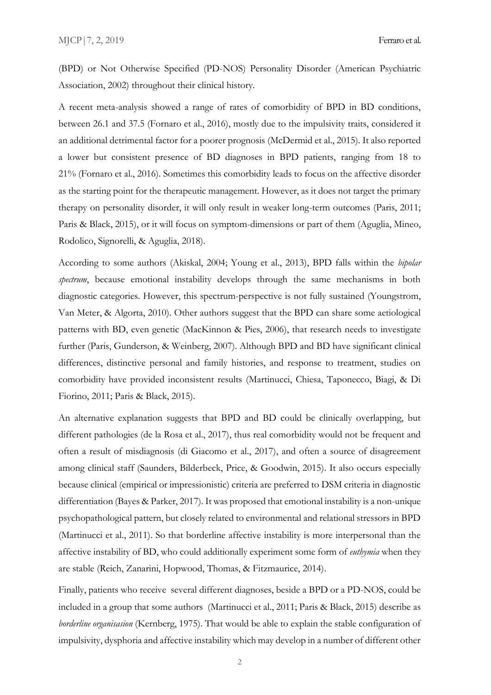(BPD) or Not Otherwise Specified (PD-NOS) Personality Disorder (American Psychiatric Association, 2002) throughout their clinical history.

A recent meta-analysis showed a range of rates of comorbidity of BPD in BD conditions, between 26.1 and 37.5 (Fornaro et al., 2016), mostly due to the impulsivity traits, considered it an additional detrimental factor for a poorer prognosis (McDermid et al., 2015). It also reported a lower but consistent presence of BD diagnoses in BPD patients, ranging from 18 to 21% (Fornaro et al., 2016). Sometimes this comorbidity leads to focus on the affective disorder as the starting point for the therapeutic management. However, as it does not target the primary therapy on personality disorder, it will only result in weaker long-term outcomes (Paris, 2011; Paris & Black, 2015), or it will focus on symptom-dimensions or part of them (Aguglia, Mineo, Rodolico, Signorelli, & Aguglia, 2018).

According to some authors (Akiskal, 2004; Young et al., 2013), BPD falls within the *bipolar spectrum*, because emotional instability develops through the same mechanisms in both diagnostic categories. However, this spectrum-perspective is not fully sustained (Youngstrom, Van Meter, & Algorta, 2010). Other authors suggest that the BPD can share some aetiological patterns with BD, even genetic (MacKinnon & Pies, 2006), that research needs to investigate further (Paris, Gunderson, & Weinberg, 2007). Although BPD and BD have significant clinical differences, distinctive personal and family histories, and response to treatment, studies on comorbidity have provided inconsistent results (Martinucci, Chiesa, Taponecco, Biagi, & Di Fiorino, 2011; Paris & Black, 2015).

An alternative explanation suggests that BPD and BD could be clinically overlapping, but different pathologies (de la Rosa et al., 2017), thus real comorbidity would not be frequent and often a result of misdiagnosis (di Giacomo et al., 2017), and often a source of disagreement among clinical staff (Saunders, Bilderbeck, Price, & Goodwin, 2015). It also occurs especially because clinical (empirical or impressionistic) criteria are preferred to DSM criteria in diagnostic differentiation (Bayes & Parker, 2017). It was proposed that emotional instability is a non-unique psychopathological pattern, but closely related to environmental and relational stressors in BPD (Martinucci et al., 2011). So that borderline affective instability is more interpersonal than the affective instability of BD, who could additionally experiment some form of *euthymia* when they are stable (Reich, Zanarini, Hopwood, Thomas, & Fitzmaurice, 2014).

Finally, patients who receive several different diagnoses, beside a BPD or a PD-NOS, could be included in a group that some authors (Martinucci et al., 2011; Paris & Black, 2015) describe as *borderline organisasion* (Kernberg, 1975). That would be able to explain the stable configuration of impulsivity, dysphoria and affective instability which may develop in a number of different other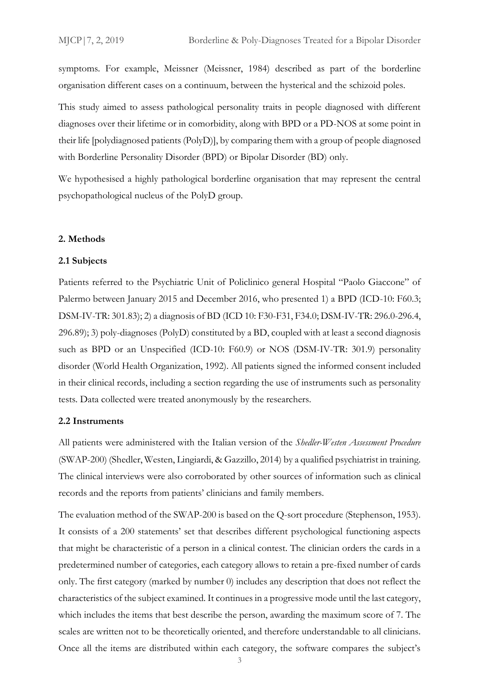symptoms. For example, Meissner (Meissner, 1984) described as part of the borderline organisation different cases on a continuum, between the hysterical and the schizoid poles.

This study aimed to assess pathological personality traits in people diagnosed with different diagnoses over their lifetime or in comorbidity, along with BPD or a PD-NOS at some point in their life [polydiagnosed patients (PolyD)], by comparing them with a group of people diagnosed with Borderline Personality Disorder (BPD) or Bipolar Disorder (BD) only.

We hypothesised a highly pathological borderline organisation that may represent the central psychopathological nucleus of the PolyD group.

#### **2. Methods**

#### **2.1 Subjects**

Patients referred to the Psychiatric Unit of Policlinico general Hospital "Paolo Giaccone" of Palermo between January 2015 and December 2016, who presented 1) a BPD (ICD-10: F60.3; DSM-IV-TR: 301.83); 2) a diagnosis of BD (ICD 10: F30-F31, F34.0; DSM-IV-TR: 296.0-296.4, 296.89); 3) poly-diagnoses (PolyD) constituted by a BD, coupled with at least a second diagnosis such as BPD or an Unspecified (ICD-10: F60.9) or NOS (DSM-IV-TR: 301.9) personality disorder (World Health Organization, 1992). All patients signed the informed consent included in their clinical records, including a section regarding the use of instruments such as personality tests. Data collected were treated anonymously by the researchers.

#### **2.2 Instruments**

All patients were administered with the Italian version of the *Shedler-Westen Assessment Procedure* (SWAP-200) (Shedler, Westen, Lingiardi, & Gazzillo, 2014) by a qualified psychiatrist in training. The clinical interviews were also corroborated by other sources of information such as clinical records and the reports from patients' clinicians and family members.

The evaluation method of the SWAP-200 is based on the Q-sort procedure (Stephenson, 1953). It consists of a 200 statements' set that describes different psychological functioning aspects that might be characteristic of a person in a clinical contest. The clinician orders the cards in a predetermined number of categories, each category allows to retain a pre-fixed number of cards only. The first category (marked by number 0) includes any description that does not reflect the characteristics of the subject examined. It continues in a progressive mode until the last category, which includes the items that best describe the person, awarding the maximum score of 7. The scales are written not to be theoretically oriented, and therefore understandable to all clinicians. Once all the items are distributed within each category, the software compares the subject's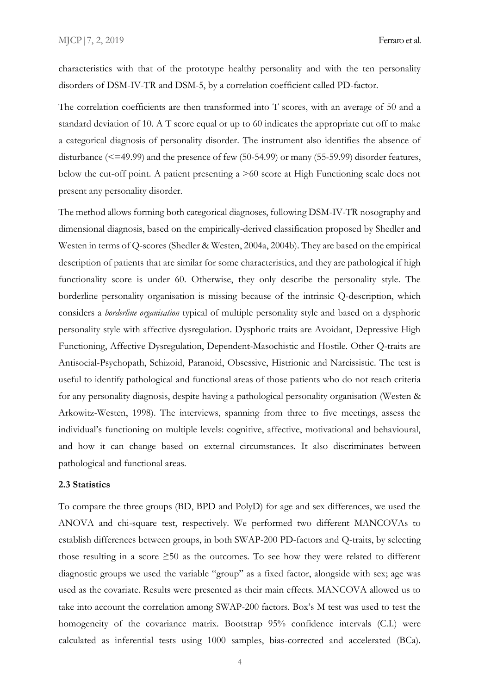characteristics with that of the prototype healthy personality and with the ten personality disorders of DSM-IV-TR and DSM-5, by a correlation coefficient called PD-factor.

The correlation coefficients are then transformed into T scores, with an average of 50 and a standard deviation of 10. A T score equal or up to 60 indicates the appropriate cut off to make a categorical diagnosis of personality disorder. The instrument also identifies the absence of disturbance (<=49.99) and the presence of few (50-54.99) or many (55-59.99) disorder features, below the cut-off point. A patient presenting a >60 score at High Functioning scale does not present any personality disorder.

The method allows forming both categorical diagnoses, following DSM-IV-TR nosography and dimensional diagnosis, based on the empirically-derived classification proposed by Shedler and Westen in terms of Q-scores (Shedler & Westen, 2004a, 2004b). They are based on the empirical description of patients that are similar for some characteristics, and they are pathological if high functionality score is under 60. Otherwise, they only describe the personality style. The borderline personality organisation is missing because of the intrinsic Q-description, which considers a *borderline organisation* typical of multiple personality style and based on a dysphoric personality style with affective dysregulation. Dysphoric traits are Avoidant, Depressive High Functioning, Affective Dysregulation, Dependent-Masochistic and Hostile. Other Q-traits are Antisocial-Psychopath, Schizoid, Paranoid, Obsessive, Histrionic and Narcissistic. The test is useful to identify pathological and functional areas of those patients who do not reach criteria for any personality diagnosis, despite having a pathological personality organisation (Westen & Arkowitz-Westen, 1998). The interviews, spanning from three to five meetings, assess the individual's functioning on multiple levels: cognitive, affective, motivational and behavioural, and how it can change based on external circumstances. It also discriminates between pathological and functional areas.

#### **2.3 Statistics**

To compare the three groups (BD, BPD and PolyD) for age and sex differences, we used the ANOVA and chi-square test, respectively. We performed two different MANCOVAs to establish differences between groups, in both SWAP-200 PD-factors and Q-traits, by selecting those resulting in a score  $\geq 50$  as the outcomes. To see how they were related to different diagnostic groups we used the variable "group" as a fixed factor, alongside with sex; age was used as the covariate. Results were presented as their main effects. MANCOVA allowed us to take into account the correlation among SWAP-200 factors. Box's M test was used to test the homogeneity of the covariance matrix. Bootstrap 95% confidence intervals (C.I.) were calculated as inferential tests using 1000 samples, bias-corrected and accelerated (BCa).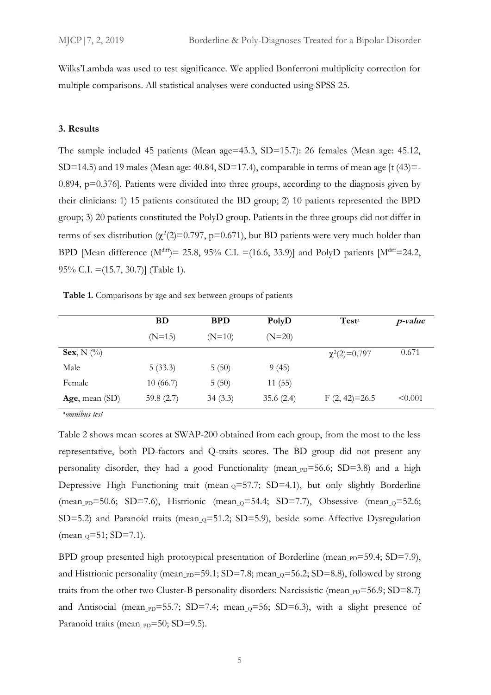Wilks'Lambda was used to test significance. We applied Bonferroni multiplicity correction for multiple comparisons. All statistical analyses were conducted using SPSS 25.

#### **3. Results**

The sample included 45 patients (Mean age=43.3, SD=15.7): 26 females (Mean age: 45.12, SD=14.5) and 19 males (Mean age:  $40.84$ , SD=17.4), comparable in terms of mean age [t  $(43)$ =-0.894, p=0.376]. Patients were divided into three groups, according to the diagnosis given by their clinicians: 1) 15 patients constituted the BD group; 2) 10 patients represented the BPD group; 3) 20 patients constituted the PolyD group. Patients in the three groups did not differ in terms of sex distribution ( $\chi^2(2)=0.797$ , p=0.671), but BD patients were very much holder than BPD [Mean difference ( $M<sup>diff</sup>$ ) = 25.8, 95% C.I. =(16.6, 33.9)] and PolyD patients [ $M<sup>diff</sup>$  = 24.2, 95% C.I. =(15.7, 30.7)] (Table 1).

**Table 1.** Comparisons by age and sex between groups of patients

|                | <b>BD</b>    | <b>BPD</b> | PolyD     | Test <sup>a</sup> | <i>p</i> -value |
|----------------|--------------|------------|-----------|-------------------|-----------------|
|                | $(N=15)$     | $(N=10)$   | $(N=20)$  |                   |                 |
| Sex, N $(\%)$  |              |            |           | $\chi^2(2)=0.797$ | 0.671           |
| Male           | 5(33.3)      | 5(50)      | 9(45)     |                   |                 |
| Female         | 10(66.7)     | 5(50)      | 11(55)    |                   |                 |
| Age, mean (SD) | 59.8 $(2.7)$ | 34(3.3)    | 35.6(2.4) | $F(2, 42)=26.5$   | < 0.001         |

<sup>a</sup>*omnibus test*

Table 2 shows mean scores at SWAP-200 obtained from each group, from the most to the less representative, both PD-factors and Q-traits scores. The BD group did not present any personality disorder, they had a good Functionality (mean  $pD=56.6$ ; SD=3.8) and a high Depressive High Functioning trait (mean  $_0$ =57.7; SD=4.1), but only slightly Borderline (mean  $pD=50.6$ ; SD=7.6), Histrionic (mean  $Q=54.4$ ; SD=7.7), Obsessive (mean  $Q=52.6$ ; SD=5.2) and Paranoid traits (mean<sub>-0</sub>=51.2; SD=5.9), beside some Affective Dysregulation (mean\_Q=51; SD=7.1).

BPD group presented high prototypical presentation of Borderline (mean  $_{\text{PD}}=59.4$ ; SD=7.9), and Histrionic personality (mean  $pD=59.1$ ; SD=7.8; mean  $Q=56.2$ ; SD=8.8), followed by strong traits from the other two Cluster-B personality disorders: Narcissistic (mean\_ $_{PD}$ =56.9; SD=8.7) and Antisocial (mean  $pD=55.7$ ; SD=7.4; mean  $Q=56$ ; SD=6.3), with a slight presence of Paranoid traits (mean <sub>PD</sub>=50; SD=9.5).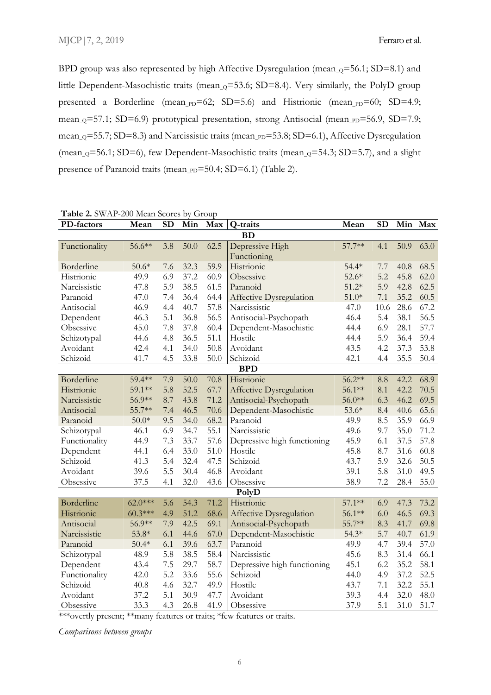BPD group was also represented by high Affective Dysregulation (mean  $_0$ =56.1; SD=8.1) and little Dependent-Masochistic traits (mean<sub>-0</sub>=53.6; SD=8.4). Very similarly, the PolyD group presented a Borderline (mean\_pp=62; SD=5.6) and Histrionic (mean\_pp=60; SD=4.9; mean<sub>-Q</sub>=57.1; SD=6.9) prototypical presentation, strong Antisocial (mean<sub>-PD</sub>=56.9, SD=7.9; mean<sub>-Q</sub>=55.7; SD=8.3) and Narcissistic traits (mean<sub>-PD</sub>=53.8; SD=6.1), Affective Dysregulation (mean<sub>\_0</sub>=56.1; SD=6), few Dependent-Masochistic traits (mean<sub>\_0</sub>=54.3; SD=5.7), and a slight presence of Paranoid traits (mean\_pp=50.4; SD=6.1) (Table 2).

| PD-factors    | Mean      | <b>SD</b> | Min  | Max  | Q-traits                       | Mean     | <b>SD</b> |      | Min Max |
|---------------|-----------|-----------|------|------|--------------------------------|----------|-----------|------|---------|
| <b>BD</b>     |           |           |      |      |                                |          |           |      |         |
| Functionality | 56.6**    | 3.8       | 50.0 | 62.5 | Depressive High                | 57.7**   | 4.1       | 50.9 | 63.0    |
|               |           |           |      |      | Functioning                    |          |           |      |         |
| Borderline    | $50.6*$   | 7.6       | 32.3 | 59.9 | Histrionic                     | $54.4*$  | 7.7       | 40.8 | 68.5    |
| Histrionic    | 49.9      | 6.9       | 37.2 | 60.9 | Obsessive                      | $52.6*$  | 5.2       | 45.8 | 62.0    |
| Narcissistic  | 47.8      | 5.9       | 38.5 | 61.5 | Paranoid                       | $51.2*$  | 5.9       | 42.8 | 62.5    |
| Paranoid      | 47.0      | 7.4       | 36.4 | 64.4 | <b>Affective Dysregulation</b> | $51.0*$  | 7.1       | 35.2 | 60.5    |
| Antisocial    | 46.9      | 4.4       | 40.7 | 57.8 | Narcissistic                   | 47.0     | 10.6      | 28.6 | 67.2    |
| Dependent     | 46.3      | 5.1       | 36.8 | 56.5 | Antisocial-Psychopath          | 46.4     | 5.4       | 38.1 | 56.5    |
| Obsessive     | 45.0      | 7.8       | 37.8 | 60.4 | Dependent-Masochistic          | 44.4     | 6.9       | 28.1 | 57.7    |
| Schizotypal   | 44.6      | 4.8       | 36.5 | 51.1 | Hostile                        | 44.4     | 5.9       | 36.4 | 59.4    |
| Avoidant      | 42.4      | 4.1       | 34.0 | 50.8 | Avoidant                       | 43.5     | 4.2       | 37.3 | 53.8    |
| Schizoid      | 41.7      | 4.5       | 33.8 | 50.0 | Schizoid                       | 42.1     | 4.4       | 35.5 | 50.4    |
| <b>BPD</b>    |           |           |      |      |                                |          |           |      |         |
| Borderline    | 59.4**    | 7.9       | 50.0 | 70.8 | Histrionic                     | $56.2**$ | 8.8       | 42.2 | 68.9    |
| Histrionic    | 59.1**    | 5.8       | 52.5 | 67.7 | <b>Affective Dysregulation</b> | 56.1**   | 8.1       | 42.2 | 70.5    |
| Narcissistic  | 56.9**    | 8.7       | 43.8 | 71.2 | Antisocial-Psychopath          | 56.0**   | 6.3       | 46.2 | 69.5    |
| Antisocial    | 55.7**    | 7.4       | 46.5 | 70.6 | Dependent-Masochistic          | $53.6*$  | 8.4       | 40.6 | 65.6    |
| Paranoid      | $50.0*$   | 9.5       | 34.0 | 68.2 | Paranoid                       | 49.9     | 8.5       | 35.9 | 66.9    |
| Schizotypal   | 46.1      | 6.9       | 34.7 | 55.1 | Narcissistic                   | 49.6     | 9.7       | 35.0 | 71.2    |
| Functionality | 44.9      | 7.3       | 33.7 | 57.6 | Depressive high functioning    | 45.9     | 6.1       | 37.5 | 57.8    |
| Dependent     | 44.1      | 6.4       | 33.0 | 51.0 | Hostile                        | 45.8     | 8.7       | 31.6 | 60.8    |
| Schizoid      | 41.3      | 5.4       | 32.4 | 47.5 | Schizoid                       | 43.7     | 5.9       | 32.6 | 50.5    |
| Avoidant      | 39.6      | 5.5       | 30.4 | 46.8 | Avoidant                       | 39.1     | 5.8       | 31.0 | 49.5    |
| Obsessive     | 37.5      | 4.1       | 32.0 | 43.6 | Obsessive                      | 38.9     | 7.2       | 28.4 | 55.0    |
| PolyD         |           |           |      |      |                                |          |           |      |         |
| Borderline    | $62.0***$ | 5.6       | 54.3 | 71.2 | Histrionic                     | $57.1**$ | 6.9       | 47.3 | 73.2    |
| Histrionic    | $60.3***$ | 4.9       | 51.2 | 68.6 | Affective Dysregulation        | $56.1**$ | 6.0       | 46.5 | 69.3    |
| Antisocial    | 56.9**    | 7.9       | 42.5 | 69.1 | Antisocial-Psychopath          | 55.7**   | 8.3       | 41.7 | 69.8    |
| Narcissistic  | $53.8*$   | 6.1       | 44.6 | 67.0 | Dependent-Masochistic          | $54.3*$  | 5.7       | 40.7 | 61.9    |
| Paranoid      | $50.4*$   | 6.1       | 39.6 | 63.7 | Paranoid                       | 49.9     | 4.7       | 39.4 | 57.0    |
| Schizotypal   | 48.9      | 5.8       | 38.5 | 58.4 | Narcissistic                   | 45.6     | 8.3       | 31.4 | 66.1    |
| Dependent     | 43.4      | 7.5       | 29.7 | 58.7 | Depressive high functioning    | 45.1     | 6.2       | 35.2 | 58.1    |
| Functionality | 42.0      | 5.2       | 33.6 | 55.6 | Schizoid                       | 44.0     | 4.9       | 37.2 | 52.5    |
| Schizoid      | 40.8      | 4.6       | 32.7 | 49.9 | Hostile                        | 43.7     | 7.1       | 32.2 | 55.1    |
| Avoidant      | 37.2      | 5.1       | 30.9 | 47.7 | Avoidant                       | 39.3     | 4.4       | 32.0 | 48.0    |
| Obsessive     | 33.3      | 4.3       | 26.8 | 41.9 | Obsessive                      | 37.9     | 5.1       | 31.0 | 51.7    |

**Table 2.** SWAP-200 Mean Scores by Group

\*\*\*overtly present; \*\*many features or traits; \*few features or traits.

*Comparisons between groups*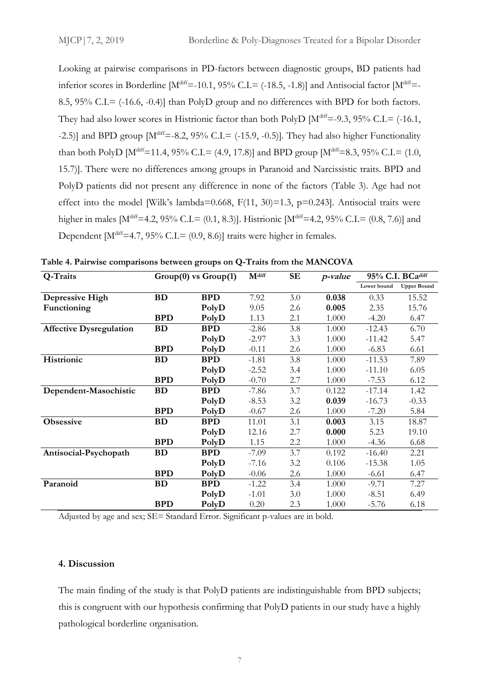Looking at pairwise comparisons in PD-factors between diagnostic groups, BD patients had inferior scores in Borderline  $[M^{\text{diff}}=10.1, 95\%$  C.I.= (-18.5, -1.8)] and Antisocial factor  $[M^{\text{diff}}=10.1, 95\%$ 8.5, 95% C.I.= (-16.6, -0.4)] than PolyD group and no differences with BPD for both factors. They had also lower scores in Histrionic factor than both PolyD  $[M^{\text{diff}}=9.3, 95\%$  C.I.= (-16.1, -2.5)] and BPD group  $[M^{\text{diff}}=8.2, 95\% \text{ C.I.}=(-15.9, -0.5)]$ . They had also higher Functionality than both PolyD [M<sup>diff</sup>=11.4, 95% C.I.= (4.9, 17.8)] and BPD group [M<sup>diff</sup>=8.3, 95% C.I.= (1.0, 15.7)]. There were no differences among groups in Paranoid and Narcissistic traits. BPD and PolyD patients did not present any difference in none of the factors (Table 3). Age had not effect into the model [Wilk's lambda=0.668,  $F(11, 30) = 1.3$ ,  $p=0.243$ ]. Antisocial traits were higher in males  $[M^{\text{diff}}=4.2, 95\% \text{ C.L}=(0.1, 8.3)]$ . Histrionic  $[M^{\text{diff}}=4.2, 95\% \text{ C.L}=(0.8, 7.6)]$  and Dependent  $[M<sup>diff</sup>=4.7, 95% C.I = (0.9, 8.6)]$  traits were higher in females.

| Q-Traits                       | $Group(0)$ vs $Group(1)$ |            | M <sup>diff</sup> | <b>SE</b> | p-value | 95% C.I. BCadiff |                    |
|--------------------------------|--------------------------|------------|-------------------|-----------|---------|------------------|--------------------|
|                                |                          |            |                   |           |         | Lower bound      | <b>Upper Bound</b> |
| Depressive High                | <b>BD</b>                | <b>BPD</b> | 7.92              | 3.0       | 0.038   | 0.33             | 15.52              |
| Functioning                    |                          | PolyD      | 9.05              | 2.6       | 0.005   | 2.35             | 15.76              |
|                                | <b>BPD</b>               | PolyD      | 1.13              | 2.1       | 1.000   | $-4.20$          | 6.47               |
| <b>Affective Dysregulation</b> | <b>BD</b>                | <b>BPD</b> | $-2.86$           | 3.8       | 1.000   | $-12.43$         | 6.70               |
|                                |                          | PolyD      | $-2.97$           | 3.3       | 1.000   | $-11.42$         | 5.47               |
|                                | <b>BPD</b>               | PolyD      | $-0.11$           | 2.6       | 1.000   | $-6.83$          | 6.61               |
| Histrionic                     | <b>BD</b>                | <b>BPD</b> | $-1.81$           | 3.8       | 1.000   | $-11.53$         | 7.89               |
|                                |                          | PolyD      | $-2.52$           | 3.4       | 1.000   | $-11.10$         | 6.05               |
|                                | <b>BPD</b>               | PolyD      | $-0.70$           | 2.7       | 1.000   | $-7.53$          | 6.12               |
| Dependent-Masochistic          | <b>BD</b>                | <b>BPD</b> | $-7.86$           | 3.7       | 0.122   | $-17.14$         | 1.42               |
|                                |                          | PolyD      | $-8.53$           | 3.2       | 0.039   | $-16.73$         | $-0.33$            |
|                                | <b>BPD</b>               | PolyD      | $-0.67$           | 2.6       | 1.000   | $-7.20$          | 5.84               |
| Obsessive                      | <b>BD</b>                | <b>BPD</b> | 11.01             | 3.1       | 0.003   | 3.15             | 18.87              |
|                                |                          | PolyD      | 12.16             | 2.7       | 0.000   | 5.23             | 19.10              |
|                                | <b>BPD</b>               | PolyD      | 1.15              | 2.2       | 1.000   | $-4.36$          | 6.68               |
| Antisocial-Psychopath          | <b>BD</b>                | <b>BPD</b> | $-7.09$           | 3.7       | 0.192   | $-16.40$         | 2.21               |
|                                |                          | PolyD      | $-7.16$           | 3.2       | 0.106   | $-15.38$         | 1.05               |
|                                | <b>BPD</b>               | PolyD      | $-0.06$           | 2.6       | 1.000   | $-6.61$          | 6.47               |
| Paranoid                       | <b>BD</b>                | <b>BPD</b> | $-1.22$           | 3.4       | 1.000   | $-9.71$          | 7.27               |
|                                |                          | PolyD      | $-1.01$           | 3.0       | 1.000   | $-8.51$          | 6.49               |
|                                | <b>BPD</b>               | PolyD      | 0.20              | 2.3       | 1.000   | $-5.76$          | 6.18               |

**Table 4. Pairwise comparisons between groups on Q-Traits from the MANCOVA**

Adjusted by age and sex; SE= Standard Error. Significant p-values are in bold.

#### **4. Discussion**

The main finding of the study is that PolyD patients are indistinguishable from BPD subjects; this is congruent with our hypothesis confirming that PolyD patients in our study have a highly pathological borderline organisation.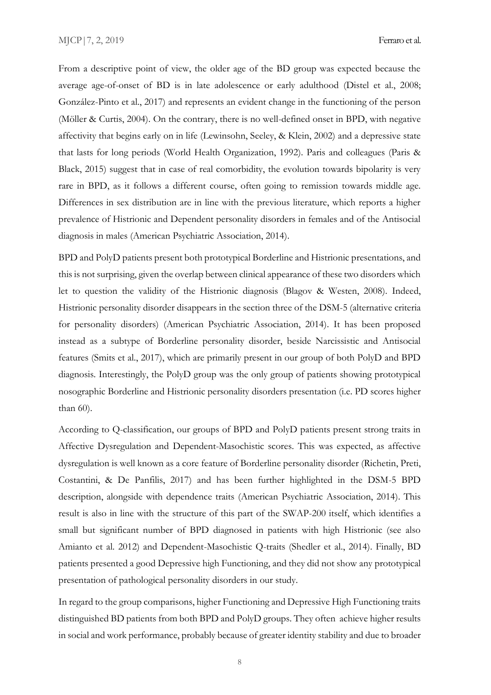From a descriptive point of view, the older age of the BD group was expected because the average age-of-onset of BD is in late adolescence or early adulthood (Distel et al., 2008; González-Pinto et al., 2017) and represents an evident change in the functioning of the person (Möller & Curtis, 2004). On the contrary, there is no well-defined onset in BPD, with negative affectivity that begins early on in life (Lewinsohn, Seeley, & Klein, 2002) and a depressive state that lasts for long periods (World Health Organization, 1992). Paris and colleagues (Paris & Black, 2015) suggest that in case of real comorbidity, the evolution towards bipolarity is very rare in BPD, as it follows a different course, often going to remission towards middle age. Differences in sex distribution are in line with the previous literature, which reports a higher prevalence of Histrionic and Dependent personality disorders in females and of the Antisocial diagnosis in males (American Psychiatric Association, 2014).

BPD and PolyD patients present both prototypical Borderline and Histrionic presentations, and this is not surprising, given the overlap between clinical appearance of these two disorders which let to question the validity of the Histrionic diagnosis (Blagov & Westen, 2008). Indeed, Histrionic personality disorder disappears in the section three of the DSM-5 (alternative criteria for personality disorders) (American Psychiatric Association, 2014). It has been proposed instead as a subtype of Borderline personality disorder, beside Narcissistic and Antisocial features (Smits et al., 2017), which are primarily present in our group of both PolyD and BPD diagnosis. Interestingly, the PolyD group was the only group of patients showing prototypical nosographic Borderline and Histrionic personality disorders presentation (i.e. PD scores higher than 60).

According to Q-classification, our groups of BPD and PolyD patients present strong traits in Affective Dysregulation and Dependent-Masochistic scores. This was expected, as affective dysregulation is well known as a core feature of Borderline personality disorder (Richetin, Preti, Costantini, & De Panfilis, 2017) and has been further highlighted in the DSM-5 BPD description, alongside with dependence traits (American Psychiatric Association, 2014). This result is also in line with the structure of this part of the SWAP-200 itself, which identifies a small but significant number of BPD diagnosed in patients with high Histrionic (see also Amianto et al. 2012) and Dependent-Masochistic Q-traits (Shedler et al., 2014). Finally, BD patients presented a good Depressive high Functioning, and they did not show any prototypical presentation of pathological personality disorders in our study.

In regard to the group comparisons, higher Functioning and Depressive High Functioning traits distinguished BD patients from both BPD and PolyD groups. They often achieve higher results in social and work performance, probably because of greater identity stability and due to broader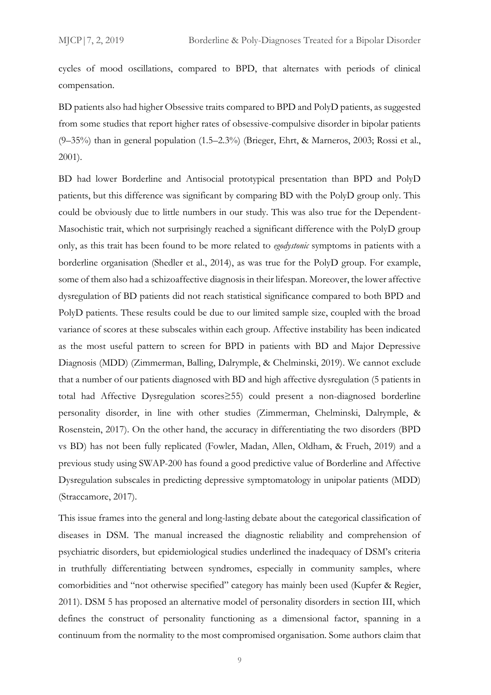cycles of mood oscillations, compared to BPD, that alternates with periods of clinical compensation.

BD patients also had higher Obsessive traits compared to BPD and PolyD patients, as suggested from some studies that report higher rates of obsessive-compulsive disorder in bipolar patients (9–35%) than in general population (1.5–2.3%) (Brieger, Ehrt, & Marneros, 2003; Rossi et al., 2001).

BD had lower Borderline and Antisocial prototypical presentation than BPD and PolyD patients, but this difference was significant by comparing BD with the PolyD group only. This could be obviously due to little numbers in our study. This was also true for the Dependent-Masochistic trait, which not surprisingly reached a significant difference with the PolyD group only, as this trait has been found to be more related to *egodystonic* symptoms in patients with a borderline organisation (Shedler et al., 2014), as was true for the PolyD group. For example, some of them also had a schizoaffective diagnosis in their lifespan. Moreover, the lower affective dysregulation of BD patients did not reach statistical significance compared to both BPD and PolyD patients. These results could be due to our limited sample size, coupled with the broad variance of scores at these subscales within each group. Affective instability has been indicated as the most useful pattern to screen for BPD in patients with BD and Major Depressive Diagnosis (MDD) (Zimmerman, Balling, Dalrymple, & Chelminski, 2019). We cannot exclude that a number of our patients diagnosed with BD and high affective dysregulation (5 patients in total had Affective Dysregulation scores≥55) could present a non-diagnosed borderline personality disorder, in line with other studies (Zimmerman, Chelminski, Dalrymple, & Rosenstein, 2017). On the other hand, the accuracy in differentiating the two disorders (BPD vs BD) has not been fully replicated (Fowler, Madan, Allen, Oldham, & Frueh, 2019) and a previous study using SWAP-200 has found a good predictive value of Borderline and Affective Dysregulation subscales in predicting depressive symptomatology in unipolar patients (MDD) (Straccamore, 2017).

This issue frames into the general and long-lasting debate about the categorical classification of diseases in DSM. The manual increased the diagnostic reliability and comprehension of psychiatric disorders, but epidemiological studies underlined the inadequacy of DSM's criteria in truthfully differentiating between syndromes, especially in community samples, where comorbidities and "not otherwise specified" category has mainly been used (Kupfer & Regier, 2011). DSM 5 has proposed an alternative model of personality disorders in section III, which defines the construct of personality functioning as a dimensional factor, spanning in a continuum from the normality to the most compromised organisation. Some authors claim that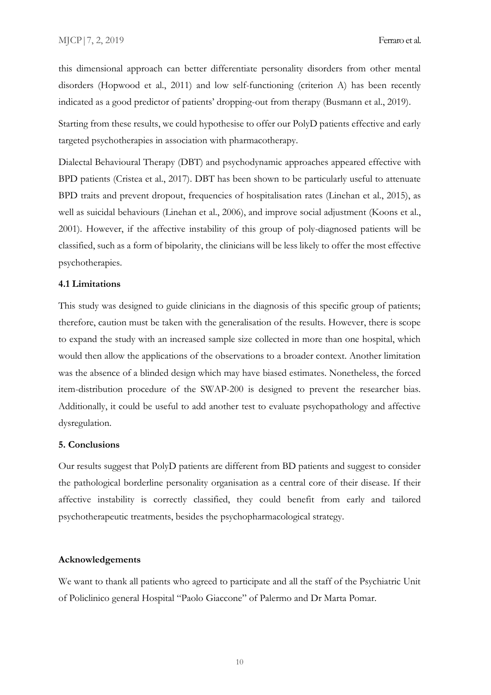this dimensional approach can better differentiate personality disorders from other mental disorders (Hopwood et al., 2011) and low self-functioning (criterion A) has been recently indicated as a good predictor of patients' dropping-out from therapy (Busmann et al., 2019).

Starting from these results, we could hypothesise to offer our PolyD patients effective and early targeted psychotherapies in association with pharmacotherapy.

Dialectal Behavioural Therapy (DBT) and psychodynamic approaches appeared effective with BPD patients (Cristea et al., 2017). DBT has been shown to be particularly useful to attenuate BPD traits and prevent dropout, frequencies of hospitalisation rates (Linehan et al., 2015), as well as suicidal behaviours (Linehan et al., 2006), and improve [social adjustment](https://www.sciencedirect.com/topics/medicine-and-dentistry/social-adaptation) (Koons et al., 2001). However, if the affective instability of this group of poly-diagnosed patients will be classified, such as a form of bipolarity, the clinicians will be less likely to offer the most effective psychotherapies.

#### **4.1 Limitations**

This study was designed to guide clinicians in the diagnosis of this specific group of patients; therefore, caution must be taken with the generalisation of the results. However, there is scope to expand the study with an increased sample size collected in more than one hospital, which would then allow the applications of the observations to a broader context. Another limitation was the absence of a blinded design which may have biased estimates. Nonetheless, the forced item-distribution procedure of the SWAP-200 is designed to prevent the researcher bias. Additionally, it could be useful to add another test to evaluate psychopathology and affective dysregulation.

#### **5. Conclusions**

Our results suggest that PolyD patients are different from BD patients and suggest to consider the pathological borderline personality organisation as a central core of their disease. If their affective instability is correctly classified, they could benefit from early and tailored psychotherapeutic treatments, besides the psychopharmacological strategy.

#### **Acknowledgements**

We want to thank all patients who agreed to participate and all the staff of the Psychiatric Unit of Policlinico general Hospital "Paolo Giaccone" of Palermo and Dr Marta Pomar.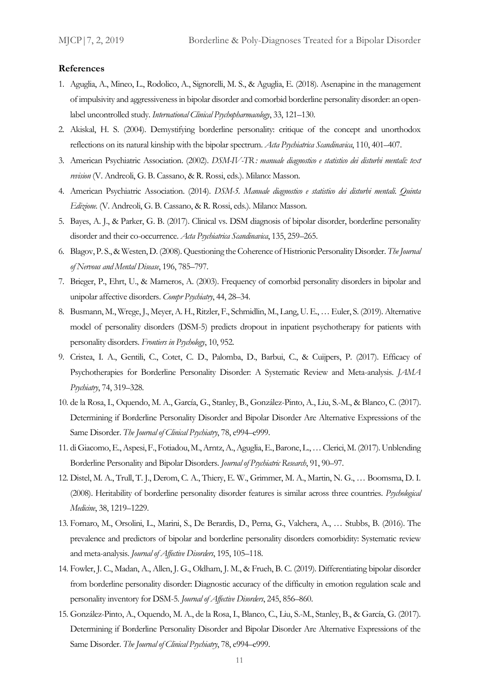#### **References**

- 1. Aguglia, A., Mineo, L., Rodolico, A., Signorelli, M. S., & Aguglia, E. (2018). Asenapine in the management of impulsivity and aggressiveness in bipolar disorder and comorbid borderline personality disorder: an openlabel uncontrolled study. *International Clinical Psychopharmacology*, 33, 121–130.
- 2. Akiskal, H. S. (2004). Demystifying borderline personality: critique of the concept and unorthodox reflections on its natural kinship with the bipolar spectrum. *Acta Psychiatrica Scandinavica*, 110, 401–407.
- 3. American Psychiatric Association. (2002). *DSM-IV-TR: manuale diagnostico e statistico dei disturbi mentali: text revision* (V. Andreoli, G. B. Cassano, & R. Rossi, eds.). Milano: Masson.
- 4. American Psychiatric Association. (2014). *DSM-5. Manuale diagnostico e statistico dei disturbi mentali. Quinta Edizione.* (V. Andreoli, G. B. Cassano, & R. Rossi, eds.). Milano: Masson.
- 5. Bayes, A. J., & Parker, G. B. (2017). Clinical vs. DSM diagnosis of bipolar disorder, borderline personality disorder and their co-occurrence. *Acta Psychiatrica Scandinavica*, 135, 259–265.
- 6. Blagov, P. S., & Westen, D. (2008). Questioning the Coherence of Histrionic Personality Disorder. *The Journal of Nervous and Mental Disease*, 196, 785–797.
- 7. Brieger, P., Ehrt, U., & Marneros, A. (2003). Frequency of comorbid personality disorders in bipolar and unipolar affective disorders. *Compr Psychiatry*, 44, 28–34.
- 8. Busmann, M., Wrege, J., Meyer, A. H., Ritzler, F., Schmidlin, M., Lang, U. E., … Euler, S. (2019). Alternative model of personality disorders (DSM-5) predicts dropout in inpatient psychotherapy for patients with personality disorders. *Frontiers in Psychology*, 10, 952.
- 9. Cristea, I. A., Gentili, C., Cotet, C. D., Palomba, D., Barbui, C., & Cuijpers, P. (2017). Efficacy of Psychotherapies for Borderline Personality Disorder: A Systematic Review and Meta-analysis. *JAMA Psychiatry*, 74, 319–328.
- 10. de la Rosa, I., Oquendo, M. A., García, G., Stanley, B., González-Pinto, A., Liu, S.-M., & Blanco, C. (2017). Determining if Borderline Personality Disorder and Bipolar Disorder Are Alternative Expressions of the Same Disorder. *The Journal of Clinical Psychiatry*, 78, e994–e999.
- 11. di Giacomo, E., Aspesi, F., Fotiadou, M., Arntz, A., Aguglia, E., Barone, L., … Clerici, M. (2017). Unblending Borderline Personality and Bipolar Disorders. *Journal of Psychiatric Research*, 91, 90–97.
- 12. Distel, M. A., Trull, T. J., Derom, C. A., Thiery, E. W., Grimmer, M. A., Martin, N. G., … Boomsma, D. I. (2008). Heritability of borderline personality disorder features is similar across three countries. *Psychological Medicine*, 38, 1219–1229.
- 13. Fornaro, M., Orsolini, L., Marini, S., De Berardis, D., Perna, G., Valchera, A., … Stubbs, B. (2016). The prevalence and predictors of bipolar and borderline personality disorders comorbidity: Systematic review and meta-analysis. *Journal of Affective Disorders*, 195, 105–118.
- 14. Fowler, J. C., Madan, A., Allen, J. G., Oldham, J. M., & Frueh, B. C. (2019). Differentiating bipolar disorder from borderline personality disorder: Diagnostic accuracy of the difficulty in emotion regulation scale and personality inventory for DSM-5. *Journal of Affective Disorders*, 245, 856–860.
- 15. González-Pinto, A., Oquendo, M. A., de la Rosa, I., Blanco, C., Liu, S.-M., Stanley, B., & García, G. (2017). Determining if Borderline Personality Disorder and Bipolar Disorder Are Alternative Expressions of the Same Disorder. *The Journal of Clinical Psychiatry*, 78, e994–e999.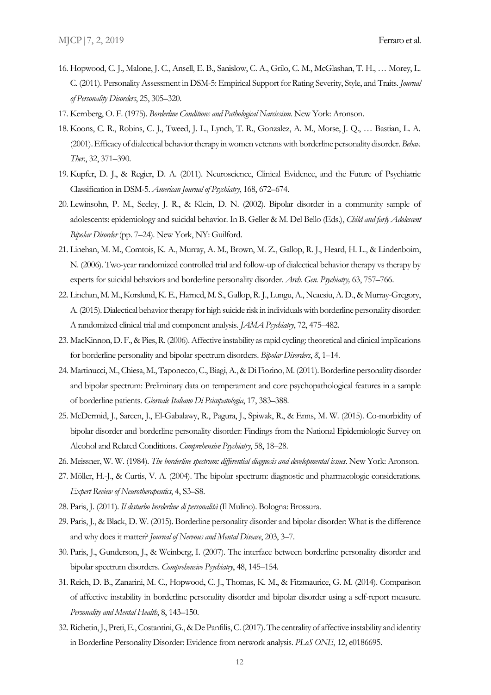- 16. Hopwood, C. J., Malone, J. C., Ansell, E. B., Sanislow, C. A., Grilo, C. M., McGlashan, T. H., … Morey, L. C. (2011). Personality Assessment in DSM-5: Empirical Support for Rating Severity, Style, and Traits. *Journal of Personality Disorders*, 25, 305–320.
- 17. Kernberg, O. F. (1975). *Borderline Conditions and Pathological Narcissism*. New York: Aronson.
- 18. Koons, C. R., Robins, C. J., Tweed, J. L., Lynch, T. R., Gonzalez, A. M., Morse, J. Q., … Bastian, L. A. (2001). Efficacy of dialectical behavior therapy in women veterans with borderline personality disorder. *Behav. Ther.*, 32, 371–390.
- 19. Kupfer, D. J., & Regier, D. A. (2011). Neuroscience, Clinical Evidence, and the Future of Psychiatric Classification in DSM-5. *American Journal of Psychiatry*, 168, 672–674.
- 20. Lewinsohn, P. M., Seeley, J. R., & Klein, D. N. (2002). Bipolar disorder in a community sample of adolescents: epidemiology and suicidal behavior. In B. Geller & M. Del Bello (Eds.), *Child and farly Adolescent Bipolar Disorder* (pp. 7–24). New York, NY: Guilford.
- 21. Linehan, M. M., Comtois, K. A., Murray, A. M., Brown, M. Z., Gallop, R. J., Heard, H. L., & Lindenboim, N. (2006). Two-year randomized controlled trial and follow-up of dialectical behavior therapy vs therapy by experts for suicidal behaviors and borderline personality disorder. *Arch. Gen. Psychiatry,* 63, 757–766.
- 22. Linehan, M. M., Korslund, K.E., Harned, M. S., Gallop, R. J., Lungu, A., Neacsiu, A. D., & Murray-Gregory, A. (2015). Dialectical behavior therapy for high suicide risk in individuals with borderline personality disorder: A randomized clinical trial and component analysis. *JAMA Psychiatry*, 72, 475–482.
- 23. MacKinnon, D. F., & Pies, R. (2006). Affective instability as rapid cycling: theoretical and clinical implications for borderline personality and bipolar spectrum disorders. *Bipolar Disorders*, *8*, 1–14.
- 24. Martinucci, M., Chiesa, M., Taponecco, C., Biagi, A., & Di Fiorino, M. (2011). Borderline personality disorder and bipolar spectrum: Preliminary data on temperament and core psychopathological features in a sample of borderline patients. *Giornale Italiano Di Psicopatologia*, 17, 383–388.
- 25. McDermid, J., Sareen, J., El-Gabalawy, R., Pagura, J., Spiwak, R., & Enns, M. W. (2015). Co-morbidity of bipolar disorder and borderline personality disorder: Findings from the National Epidemiologic Survey on Alcohol and Related Conditions. *Comprehensive Psychiatry*, 58, 18–28.
- 26. Meissner, W. W. (1984). *The borderline spectrum: differential diagnosis and developmental issues*. New York: Aronson.
- 27. Möller, H.-J., & Curtis, V. A. (2004). The bipolar spectrum: diagnostic and pharmacologic considerations. *Expert Review of Neurotherapeutics*, 4, S3–S8.
- 28. Paris, J. (2011). *Il disturbo borderline di personalità* (Il Mulino). Bologna: Brossura.
- 29. Paris, J., & Black, D. W. (2015). Borderline personality disorder and bipolar disorder: What is the difference and why does it matter? *Journal of Nervous and Mental Disease*, 203, 3–7.
- 30. Paris, J., Gunderson, J., & Weinberg, I. (2007). The interface between borderline personality disorder and bipolar spectrum disorders. *Comprehensive Psychiatry*, 48, 145–154.
- 31. Reich, D. B., Zanarini, M. C., Hopwood, C. J., Thomas, K. M., & Fitzmaurice, G. M. (2014). Comparison of affective instability in borderline personality disorder and bipolar disorder using a self-report measure. *Personality and Mental Health*, 8, 143–150.
- 32. Richetin, J., Preti, E., Costantini, G., & De Panfilis, C. (2017). The centrality of affective instability and identity in Borderline Personality Disorder: Evidence from network analysis. *PLoS ONE*, 12, e0186695.